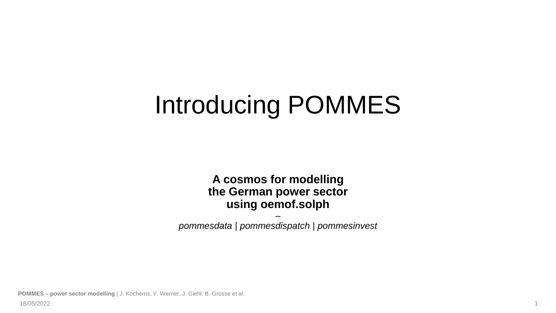# Introducing POMMES

**A cosmos for modelling the German power sector using oemof.solph**

– *pommesdata* | *pommesdispatch* | *pommesinvest*

**POMMES – power sector modelling** | J. Kochems, Y. Werner, J. Giehl, B. Grosse et al.

18/05/2022 1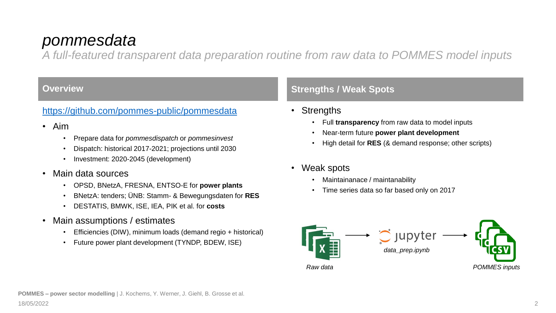## *pommesdata*

*A full-featured transparent data preparation routine from raw data to POMMES model inputs*

#### <https://github.com/pommes-public/pommesdata>

- Aim
	- Prepare data for *pommesdispatch* or *pommesinvest*
	- Dispatch: historical 2017-2021; projections until 2030
	- Investment: 2020-2045 (development)
- Main data sources
	- OPSD, BNetzA, FRESNA, ENTSO-E for **power plants**
	- BNetzA: tenders; ÜNB: Stamm- & Bewegungsdaten for **RES**
	- DESTATIS, BMWK, ISE, IEA, PIK et al. for **costs**
- Main assumptions / estimates
	- Efficiencies (DIW), minimum loads (demand regio + historical)
	- Future power plant development (TYNDP, BDEW, ISE)

### **Overview And Strengths / Weak Spots**

- Strengths
	- Full **transparency** from raw data to model inputs
	- Near-term future **power plant development**
	- High detail for **RES** (& demand response; other scripts)
- Weak spots
	- Maintainanace / maintanability
	- Time series data so far based only on 2017

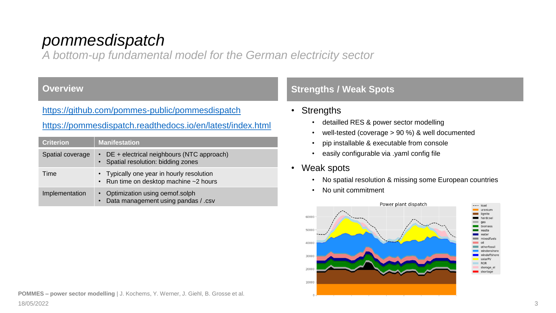## *pommesdispatch*

*A bottom-up fundamental model for the German electricity sector*

#### <https://github.com/pommes-public/pommesdispatch>

#### <https://pommesdispatch.readthedocs.io/en/latest/index.html>

| <b>Criterion</b> | <b>Manifestation</b>                                                                |
|------------------|-------------------------------------------------------------------------------------|
| Spatial coverage | • DE + electrical neighbours (NTC approach)<br>• Spatial resolution: bidding zones  |
| Time             | • Typically one year in hourly resolution<br>• Run time on desktop machine ~2 hours |
| Implementation   | • Optimization using oemof.solph<br>Data management using pandas / .csv             |

#### **Overview <b>Strengths / Weak Spots**

- Strengths
	- detailled RES & power sector modelling
	- well-tested (coverage > 90 %) & well documented
	- pip installable & executable from console
	- easily configurable via .yaml config file
- Weak spots
	- No spatial resolution & missing some European countries
	- No unit commitment

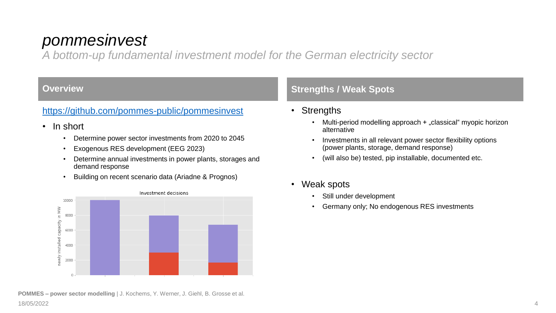## *pommesinvest*

*A bottom-up fundamental investment model for the German electricity sector*

#### <https://github.com/pommes-public/pommesinvest>

- In short
	- Determine power sector investments from 2020 to 2045
	- Exogenous RES development (EEG 2023)
	- Determine annual investments in power plants, storages and demand response
	- Building on recent scenario data (Ariadne & Prognos)



### **Overview <b>Strengths / Weak Spots Contract Contract Contract Contract Contract Contract Contract Contract Contract Contract Contract Contract Contract Contract Contract Contract Contract Contract Contract Contract Contra**

- Strengths
	- Multi-period modelling approach + "classical" myopic horizon alternative
	- Investments in all relevant power sector flexibility options (power plants, storage, demand response)
	- (will also be) tested, pip installable, documented etc.
- Weak spots
	- Still under development
	- Germany only; No endogenous RES investments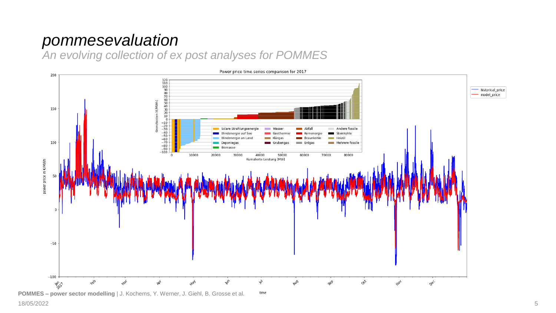## *pommesevaluation*

*An evolving collection of ex post analyses for POMMES*



**POMMES – power sector modelling** | J. Kochems, Y. Werner, J. Giehl, B. Grosse et al.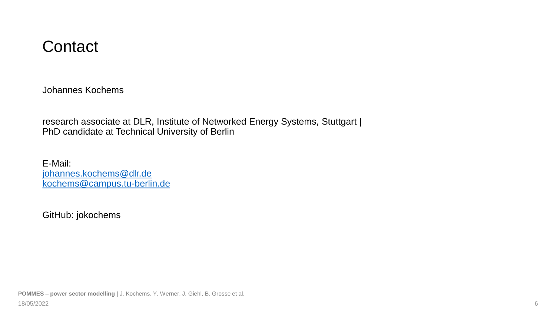## **Contact**

Johannes Kochems

research associate at DLR, Institute of Networked Energy Systems, Stuttgart | PhD candidate at Technical University of Berlin

E-Mail: [johannes.kochems@dlr.de](mailto:johannes.kochems@dlr.de) [kochems@campus.tu-berlin.de](mailto:kochems@campus.tu-berlin.de)

GitHub: jokochems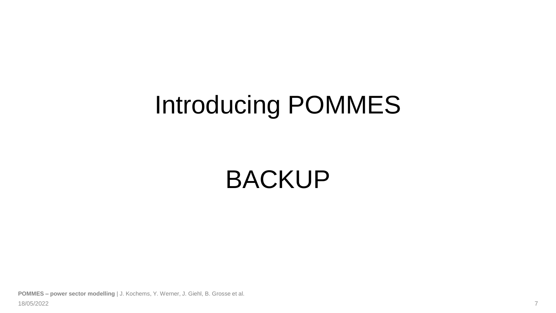# Introducing POMMES

# BACKUP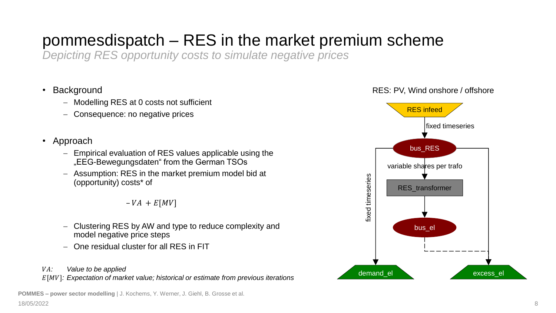## pommesdispatch – RES in the market premium scheme

*Depicting RES opportunity costs to simulate negative prices*

- Background
	- − Modelling RES at 0 costs not sufficient
	- − Consequence: no negative prices
- Approach
	- − Empirical evaluation of RES values applicable using the "EEG-Bewegungsdaten" from the German TSOs
	- − Assumption: RES in the market premium model bid at (opportunity) costs\* of

 $-VA + E[MV]$ 

- − Clustering RES by AW and type to reduce complexity and model negative price steps
- − One residual cluster for all RES in FIT
- *: Value to be applied*

[]*: Expectation of market value; historical or estimate from previous iterations*